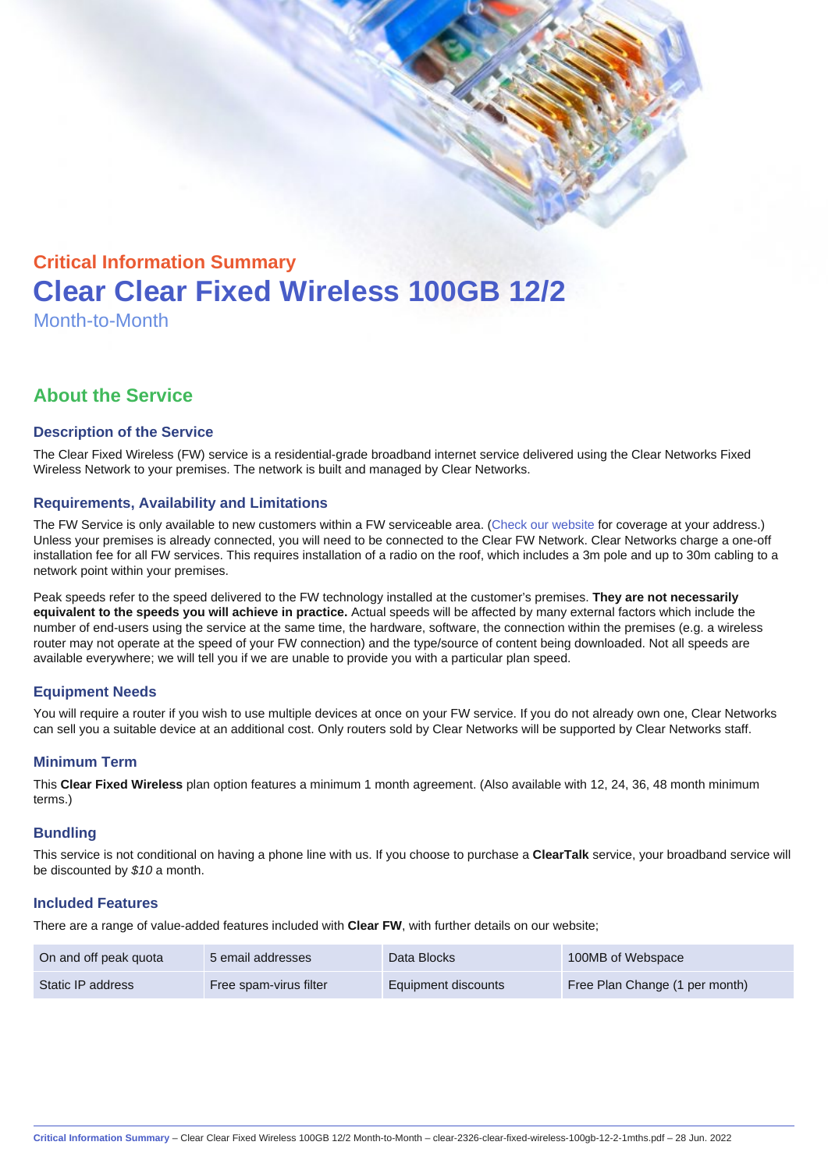# Critical Information Summary Clear Clear Fixed Wireless 100GB 12/2 Month-to-Month

# About the Service

#### Description of the Service

The Clear Fixed Wireless (FW) service is a residential-grade broadband internet service delivered using the Clear Networks Fixed Wireless Network to your premises. The network is built and managed by Clear Networks.

#### Requirements, Availability and Limitations

The FW Service is only available to new customers within a FW serviceable area. ([Check our website](https://www.clear.com.au/business/fixed-wireless/) for coverage at your address.) Unless your premises is already connected, you will need to be connected to the Clear FW Network. Clear Networks charge a one-off installation fee for all FW services. This requires installation of a radio on the roof, which includes a 3m pole and up to 30m cabling to a network point within your premises.

Peak speeds refer to the speed delivered to the FW technology installed at the customer's premises. They are not necessarily equivalent to the speeds you will achieve in practice. Actual speeds will be affected by many external factors which include the number of end-users using the service at the same time, the hardware, software, the connection within the premises (e.g. a wireless router may not operate at the speed of your FW connection) and the type/source of content being downloaded. Not all speeds are available everywhere; we will tell you if we are unable to provide you with a particular plan speed.

# Equipment Needs

You will require a router if you wish to use multiple devices at once on your FW service. If you do not already own one, Clear Networks can sell you a suitable device at an additional cost. Only routers sold by Clear Networks will be supported by Clear Networks staff.

#### Minimum Term

This Clear Fixed Wireless plan option features a minimum 1 month agreement. (Also available with 12, 24, 36, 48 month minimum terms.)

#### **Bundling**

This service is not conditional on having a phone line with us. If you choose to purchase a ClearTalk service, your broadband service will be discounted by \$10 a month.

#### Included Features

There are a range of value-added features included with Clear FW, with further details on our website;

| On and off peak quota | 5 email addresses      | Data Blocks         | 100MB of Webspace              |
|-----------------------|------------------------|---------------------|--------------------------------|
| Static IP address     | Free spam-virus filter | Equipment discounts | Free Plan Change (1 per month) |